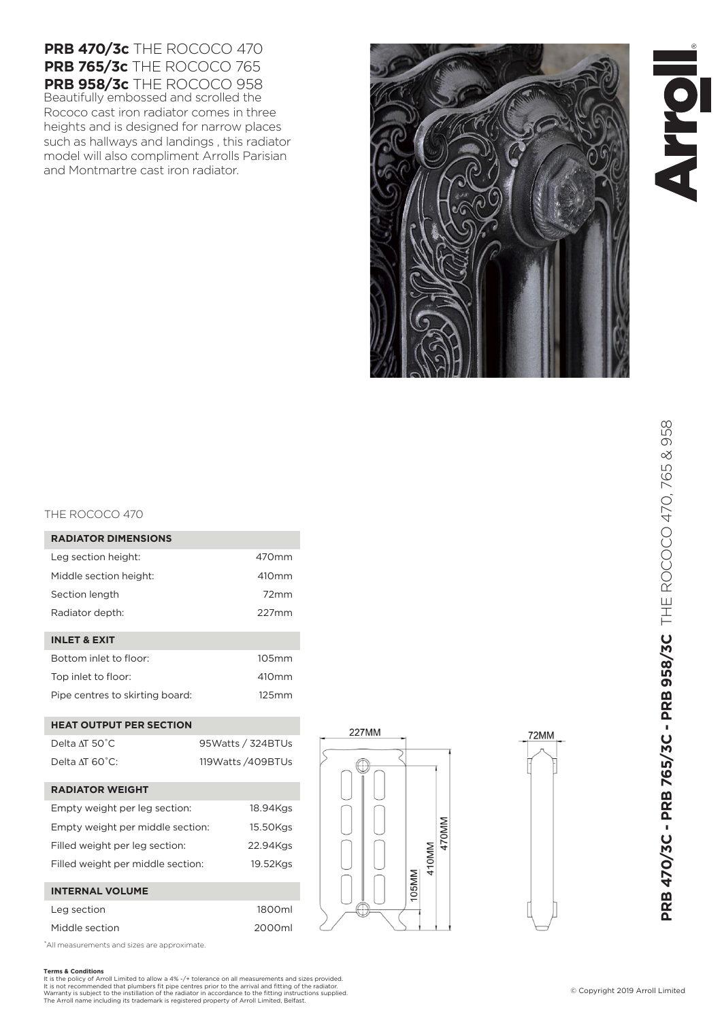**Terms & Conditions** It is the policy of Arroll Limited to allow a 4% -/+ tolerance on all measurements and sizes provided.<br>It is not recommended that plumbers fit pipe centres prior to the arrival and fitting of the radiator.<br>Warranty is subj

1800ml 2000ml

# THE ROCOCO 470

| <b>RADIATOR DIMENSIONS</b>      |                   |
|---------------------------------|-------------------|
| Leg section height:             | $470$ mm          |
| Middle section height:          | 410mm             |
| Section length                  | 72mm              |
| Radiator depth:                 | $227$ mm          |
|                                 |                   |
| <b>INLET &amp; EXIT</b>         |                   |
| Bottom inlet to floor:          | 105mm             |
| Top inlet to floor:             | 410 <sub>mm</sub> |
| Pipe centres to skirting board: | 125mm             |

Beautifully embossed and scrolled the Rococo cast iron radiator comes in three heights and is designed for narrow places such as hallways and landings , this radiator model will also compliment Arrolls Parisian

**PRB 470/3c** THE ROCOCO 470 **PRB 765/3c** THE ROCOCO 765 **PRB 958/3c** THE ROCOCO 958

and Montmartre cast iron radiator.

### **HEAT OUTPUT PER SECTION**

| Delta AT 50°C               | 95Watts / 324BTUs    |
|-----------------------------|----------------------|
| Delta $AT$ 60 $^{\circ}$ C: | 119 Watts / 409 BTUs |

### **RADIATOR WEIGHT**

| Empty weight per leg section:     | 18.94Kgs |
|-----------------------------------|----------|
| Empty weight per middle section:  | 15.50Kgs |
| Filled weight per leg section:    | 22.94Kgs |
| Filled weight per middle section: | 19.52Kgs |
|                                   |          |

## **INTERNAL VOLUME**

| Leg section    |  |
|----------------|--|
| Middle section |  |

\*All measurements and sizes are approximate.

# **RADIATOR DIMENSIONS**

| Leg section height:    |
|------------------------|
| Middle section height: |



# PRB 470/3C - PRB 765/3C - PRB 958/3C THE ROCOCO 470, 765 & 958 **PRB 470/3C - PRB 765/3C - PRB 958/3C** THE ROCOCO 470, 765 & 958